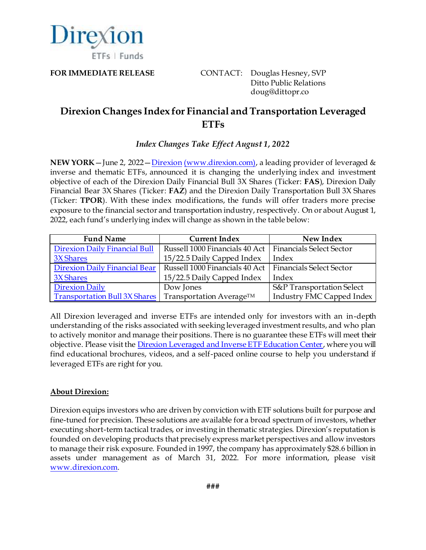

FOR IMMEDIATE RELEASE **CONTACT:** Douglas Hesney, SVP Ditto Public Relations doug@dittopr.co

## **Direxion Changes Index for Financial and Transportation Leveraged ETFs**

## *Index Changes Take Effect August 1, 2022*

**NEW YORK**—June 2, 2022—[Direxion](https://www.direxion.com/??utm_source=direxion&utm_medium=referral&utm_campaign=mnm&utm_content=press+release) [\(www.direxion.com\)](http://www.direxion.com/), a leading provider of leveraged & inverse and thematic ETFs, announced it is changing the underlying index and investment objective of each of the Direxion Daily Financial Bull 3X Shares (Ticker: **FAS**), Direxion Daily Financial Bear 3X Shares (Ticker: **FAZ**) and the Direxion Daily Transportation Bull 3X Shares (Ticker: **TPOR**). With these index modifications, the funds will offer traders more precise exposure to the financial sector and transportation industry, respectively. On or about August 1, 2022, each fund's underlying index will change as shown in the table below:

| <b>Fund Name</b>                     | <b>Current Index</b>                                      | New Index                        |
|--------------------------------------|-----------------------------------------------------------|----------------------------------|
| <b>Direxion Daily Financial Bull</b> | Russell 1000 Financials 40 Act   Financials Select Sector |                                  |
| 3X Shares                            | 15/22.5 Daily Capped Index                                | Index                            |
| Direxion Daily Financial Bear        | Russell 1000 Financials 40 Act                            | <b>Financials Select Sector</b>  |
| 3X Shares                            | 15/22.5 Daily Capped Index                                | Index                            |
| <b>Direxion Daily</b>                | Dow Jones                                                 | S&P Transportation Select        |
| <b>Transportation Bull 3X Shares</b> | Transportation Average <sup>TM</sup>                      | <b>Industry FMC Capped Index</b> |

All Direxion leveraged and inverse ETFs are intended only for investors with an in-depth understanding of the risks associated with seeking leveraged investment results, and who plan to actively monitor and manage their positions. There is no guarantee these ETFs will meet their objective. Please visit th[e Direxion Leveraged and Inverse ETF Education Center](https://www.direxion.com/leveraged-etf-education), where you will find educational brochures, videos, and a self-paced online course to help you understand if leveraged ETFs are right for you.

## **About Direxion:**

Direxion equips investors who are driven by conviction with ETF solutions built for purpose and fine-tuned for precision. These solutions are available for a broad spectrum of investors, whether executing short-term tactical trades, or investing in thematic strategies. Direxion's reputation is founded on developing products that precisely express market perspectives and allow investors to manage their risk exposure. Founded in 1997, the company has approximately \$28.6 billion in assets under management as of March 31, 2022. For more information, please visit [www.direxion.com](http://www.direxion.com/).